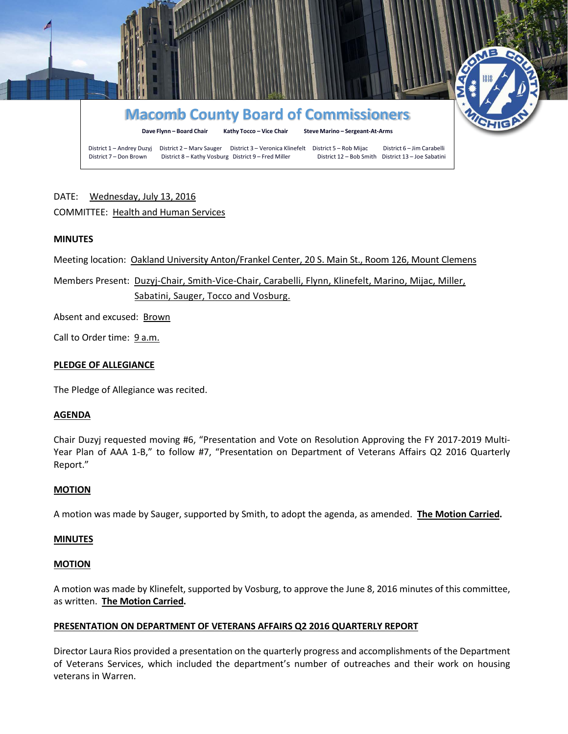

# DATE: Wednesday, July 13, 2016

# COMMITTEE: Health and Human Services

## **MINUTES**

Meeting location: Oakland University Anton/Frankel Center, 20 S. Main St., Room 126, Mount Clemens

Members Present: Duzyj-Chair, Smith-Vice-Chair, Carabelli, Flynn, Klinefelt, Marino, Mijac, Miller, Sabatini, Sauger, Tocco and Vosburg.

Absent and excused: Brown

Call to Order time: 9 a.m.

## **PLEDGE OF ALLEGIANCE**

The Pledge of Allegiance was recited.

## **AGENDA**

Chair Duzyj requested moving #6, "Presentation and Vote on Resolution Approving the FY 2017-2019 Multi-Year Plan of AAA 1-B," to follow #7, "Presentation on Department of Veterans Affairs Q2 2016 Quarterly Report."

## **MOTION**

A motion was made by Sauger, supported by Smith, to adopt the agenda, as amended. **The Motion Carried.**

## **MINUTES**

## **MOTION**

A motion was made by Klinefelt, supported by Vosburg, to approve the June 8, 2016 minutes of this committee, as written. **The Motion Carried.**

## **PRESENTATION ON DEPARTMENT OF VETERANS AFFAIRS Q2 2016 QUARTERLY REPORT**

Director Laura Rios provided a presentation on the quarterly progress and accomplishments of the Department of Veterans Services, which included the department's number of outreaches and their work on housing veterans in Warren.